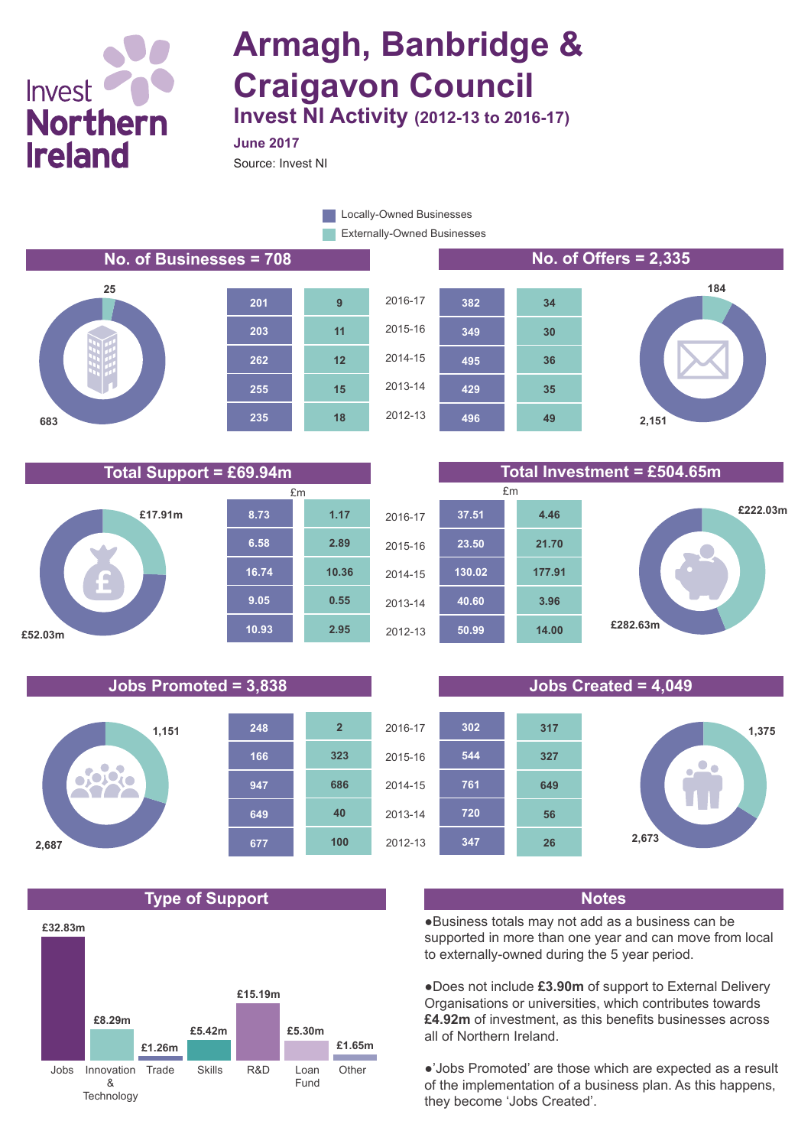# Invest<sup>(</sup> **Northern Ireland**

## **Armagh, Banbridge & Craigavon Council Invest NI Activity (2012-13 to 2016-17)**

**June 2017**

Source: Invest NI

Externally-Owned Businesses Locally-Owned Businesses

### **No. of Businesses = 708 No. of Offers = 2,335**











### **Total Support = £69.94m Total Investment = £504.65m**



### **Jobs Promoted = 3,838 Jobs Created = 4,049**



### **Type of Support Notes**





●Business totals may not add as a business can be supported in more than one year and can move from local to externally-owned during the 5 year period.

●Does not include **£3.90m** of support to External Delivery Organisations or universities, which contributes towards **£4.92m** of investment, as this benefits businesses across all of Northern Ireland.

●'Jobs Promoted' are those which are expected as a result of the implementation of a business plan. As this happens, they become 'Jobs Created'.